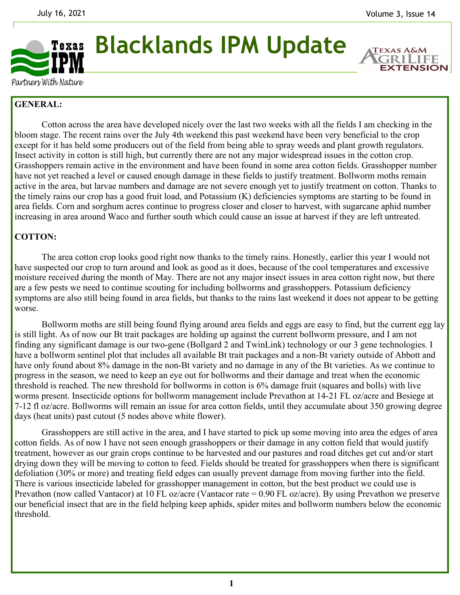

**Blacklands IPM Update** 

**EXTENSION** 

Partners With Nature

## **GENERAL:**

 Cotton across the area have developed nicely over the last two weeks with all the fields I am checking in the bloom stage. The recent rains over the July 4th weekend this past weekend have been very beneficial to the crop except for it has held some producers out of the field from being able to spray weeds and plant growth regulators. Insect activity in cotton is still high, but currently there are not any major widespread issues in the cotton crop. Grasshoppers remain active in the environment and have been found in some area cotton fields. Grasshopper number have not yet reached a level or caused enough damage in these fields to justify treatment. Bollworm moths remain active in the area, but larvae numbers and damage are not severe enough yet to justify treatment on cotton. Thanks to the timely rains our crop has a good fruit load, and Potassium (K) deficiencies symptoms are starting to be found in area fields. Corn and sorghum acres continue to progress closer and closer to harvest, with sugarcane aphid number increasing in area around Waco and further south which could cause an issue at harvest if they are left untreated.

## **COTTON:**

The area cotton crop looks good right now thanks to the timely rains. Honestly, earlier this year I would not have suspected our crop to turn around and look as good as it does, because of the cool temperatures and excessive moisture received during the month of May. There are not any major insect issues in area cotton right now, but there are a few pests we need to continue scouting for including bollworms and grasshoppers. Potassium deficiency symptoms are also still being found in area fields, but thanks to the rains last weekend it does not appear to be getting worse.

 Bollworm moths are still being found flying around area fields and eggs are easy to find, but the current egg lay is still light. As of now our Bt trait packages are holding up against the current bollworm pressure, and I am not finding any significant damage is our two-gene (Bollgard 2 and TwinLink) technology or our 3 gene technologies. I have a bollworm sentinel plot that includes all available Bt trait packages and a non-Bt variety outside of Abbott and have only found about 8% damage in the non-Bt variety and no damage in any of the Bt varieties. As we continue to progress in the season, we need to keep an eye out for bollworms and their damage and treat when the economic threshold is reached. The new threshold for bollworms in cotton is 6% damage fruit (squares and bolls) with live worms present. Insecticide options for bollworm management include Prevathon at 14-21 FL oz/acre and Besiege at 7-12 fl oz/acre. Bollworms will remain an issue for area cotton fields, until they accumulate about 350 growing degree days (heat units) past cutout (5 nodes above white flower).

 Grasshoppers are still active in the area, and I have started to pick up some moving into area the edges of area cotton fields. As of now I have not seen enough grasshoppers or their damage in any cotton field that would justify treatment, however as our grain crops continue to be harvested and our pastures and road ditches get cut and/or start drying down they will be moving to cotton to feed. Fields should be treated for grasshoppers when there is significant defoliation (30% or more) and treating field edges can usually prevent damage from moving further into the field. There is various insecticide labeled for grasshopper management in cotton, but the best product we could use is Prevathon (now called Vantacor) at 10 FL oz/acre (Vantacor rate = 0.90 FL oz/acre). By using Prevathon we preserve our beneficial insect that are in the field helping keep aphids, spider mites and bollworm numbers below the economic threshold.